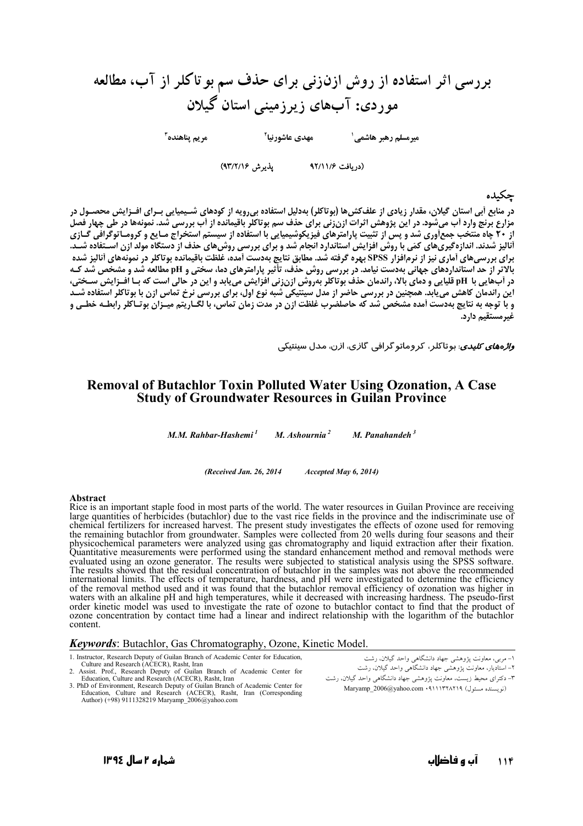بررسی اثر استفاده از روش ازنزنی برای حذف سم بو تاکلر از آب، مطالعه موردی: آبهای زیرزمینی استان گیلان  $^{\mathsf{r}}$ م بہ بناھندہ 

(دريافت ٩٢/١١/۶ يذيرش ٩٣/٢/١۶)

## جكىدە

در منابع اَبی استان گیلان، مقدار زیادی از علفکش۵ (بوتاکلر) بهدلیل استفاده بیرویه از کودهای شـیمیایی بـرای افـزایش محصـول در<br>مزارع برنج وارد اَب میشود. در این پژوهش اثرات ازنزنی برای حذف سم بوتاکلر باقیمانده از اَب بررسی ش از ۲۰ چاه منتخب جمعآوری شد و پس از تثبیت پارامترهای فیزیکوشیمیایی با استفاده از سیستم استخراج مـایع و کرومـاتوگرافی گـازی در أب هایی با pH قلیایی و دمای بالا، راندمان حذف بوتاکلر بهروش ازنزنی افزایش می یابد و این در حالی است که ب اف زایش سـختی، این راندمان کاهش می بابد. همچنین در بررسی حاضر از مدل سینتیکی شبه نوع اول، برای بررسی نرخ تماس ازن با بوتاکلر استفاده شــد<br>و با توجه به نتایج بهدست آمده مشخص شد که حاصلضرب غلظت ازن در مدت زمان تماس، با لگــاریتم میــزان ب غدمستقیم دارد.

*واژههای کلیدی:* بوتاکلر، کروماتو گرافی گا*ز*ی، ا*ز*ن، مدل سینتیکی

## **Removal of Butachlor Toxin Polluted Water Using Ozonation, A Case Study of Groundwater Resources in Guilan Province**

M.M. Rahbar-Hashemi<sup>1</sup> M. Ashournia<sup>2</sup> M. Panahandeh $3$ 

> (Received Jan 26, 2014) Accepted May 6, 2014)

#### Abstract

Rice is an important staple food in most parts of the world. The water resources in Guilan Province are receiving<br>large quantities of herbicides (butachlor) due to the vast rice fields in the province and the indiscriminat chemical fertilizers for increased harvest. The present study investigates the effects of ozone used for removing the remaining butachlor from groundwater. Samples were collected from 20 wells during four seasons and their<br>physicochemical parameters were analyzed using gas chromatography and liquid extraction after their fixation.<br>Qua evaluated using an ozone generator. The results were subjected to statistical analysis using the SPSS software.<br>The results showed that the residual concentration of butachlor in the samples was not above the recommended international limits. The effects of temperature, hardness, and pH were investigated to determine the efficiency of the removal method used and it was found that the butachlor removal efficiency of ozonation was higher in waters with an alkaline pH and high temperatures, while it decreased with increasing hardness. The pseudo-first order kinetic model was used to investigate the rate of ozone to butachlor contact to find that the product of<br>ozone concentration by contact time had a linear and indirect relationship with the logarithm of the butachlor content

### **Keywords:** Butachlor, Gas Chromatography, Ozone, Kinetic Model.

1. Instructor, Research Deputy of Guilan Branch of Academic Center for Education,

- 
- 1. Instructor, Research Deputy of Guilan Branch of Academic Center and Research (ACECR), Rasht, Iran<br>2. Assist. Prof., Research ACECR), Rasht, Iran<br>3. PhD of Environment, Research Deputy of Guilan Branch of Academic Center

۲– استادیار، معاونت پژوهشی جهاد دانشگاهی واحد گیلان، رشت

۱– مربی، معاونت پژوهشی جهاد دانشگاهی واحد گیلان، رشت

۳– دکترای محیط زیست، معاونت پژوهشی جهاد دانشگاهی واحد گیلان، رشت (نو يستلده مسئول) Maryamp 2006@yahoo.com • ٩١١١٣٢٨٢١٩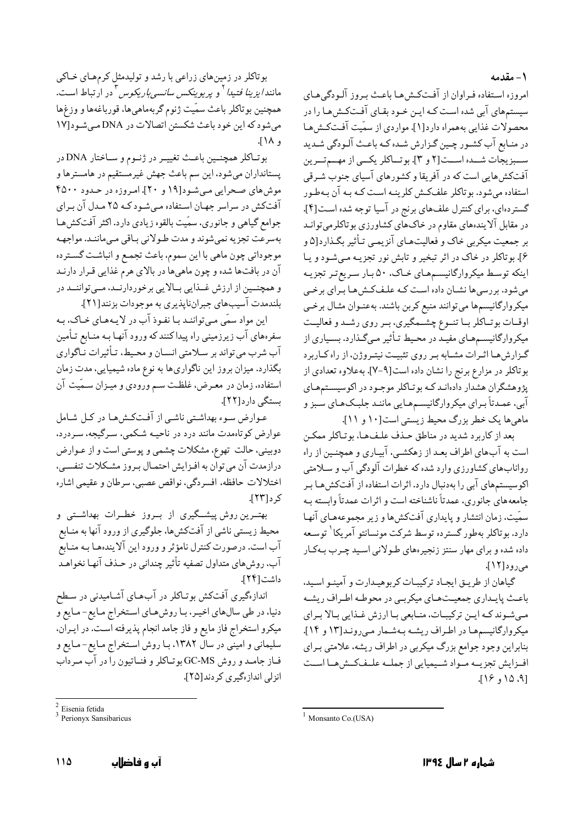۱ – مقدمه

امروزه استفاده فراوان از آفتكش هـا باعـث بـروز آلـودگي هـاي سیستمهای آبی شده است کـه ایـن خـود بقـای آفـتکـش۵مـا را در محصولات غذایی بههمراه دارد[۱]. مواردی از سمّیت آفتکش هـا در منـابع آب کشـور چـین گـزارش شـده کـه باعـث آلـودگی شـدید ســـبزيجات شـــده اســـت[٢ و ٣]. بوتـــاكلر يكـــي از مهـــمتـــرين آفتکشهایی است که در آفریقا و کشورهای آسیای جنوب شـرقی استفاده می شود. بو تاکلر علفکش کلرینـه اسـت کـه بـه آن بـهطـور گستردهای، برای کنترل علفهای برنج در آسیا توجه شده است[۴]. در مقابل آلایندههای مقاوم در خاکهای کشاورزی بوتاکلرمیتوانـد بر جمعیت میکربی خاک و فعالیتهـای آنزیمـی تـأثیر بگـذارد[۵ و ۶]. بوتاکلر در خاک در اثر تبخیر و تابش نور تجزیـه مـیشـود و یـا اینکه توسط میکروارگانیسمهای خـاک، ۵۰ بـار سـریع تـر تجزیـه میشود. بررسیها نشـان داده اسـت کـه علـفکـش۹هـا بـرای برخـی میکروارگانیسمها میتوانند منبع کربن باشند. بهعنـوان مثـال برخـی اوقــات بوتــاكلر بــا تنــوع چشــّـمگیري، بــر روي رشــد و فعالیــت میکروارگانیسمهای مفیـد در محـیط تـأثیر مـیگـذارد. بسـیاری از گـزارشهـا اثـرات مشـابه بـر روى تثبيـت نيتـروژن، از راه كـاربرد بوتاکلر در مزارع برنج را نشان داده است[۹-۷]. بهعلاوه تعدادی از <sub>یژو</sub>هشگران هشدار دادهانـد کـه بوتـاکلر موجـود در اکوسیسـتمهـاي آبی، عمدتاً بـرای میکروارگانیسـمهـایی ماننـد جلبـکـهـای سَـبز و ماهي ها يک خطر بزرگ محيط زيستي است[١٠ و ١١].

بعد از كاربرد شديد در مناطق حـذف علـفهـا، بوتـاكلر ممكـن است به آبهای اطراف بعـد از زهکشـی، آبیـاری و همچنـین از راه روانابهای کشاورزی وارد شده که خطرات آلودگی آب و سلامتی اکوسیستمهای آبی را بهدنبال دارد. اثرات استفاده از آفتکشهـا بـر جامعههای جانوری، عمدتاً ناشناخته است و اثرات عمدتاً وابسته بـه سمّیت، زمان انتشار و پایداری آفتکشها و زیر مجموعههـای آنهـا دارد. بوتاكلر بهطور گسترده توسط شركت مونسانتو آمريكا<sup>\</sup> توسـعه داده شده و برای مهار سنتز زنجیرههای طـولانی اسـید چـرب بـهکـار می, و د [۱۲].

گیاهان از طریـق ایجـاد ترکیبـات کربوهیـدارت و آمینـو اسـید. باعث پاییداری جمعیت هیای میکربی در محوطیه اطیراف ریشیه میشوندکه این ترکیبات، منابعی با ارزش غذایی بالا برای میکروارگانیسمها در اطراف ریشه بهشمار میروند[۱۳ و ۱۴]. بنابراین وجود جوامع بزرگ میکربی در اطراف ریشه، علامتی بـرای افيزايش تجزيسه مبواد شبيميايي از جمليه علىفكسش هيا است [۹، ۱۵ و ۱۶].

بوتاكلر همچنين باعث تغييـر در ژنـوم و سـاختار DNA در پستانداران میشود، این سم باعث جهش غیرمستقیم در هامسترها و موش های صحرایی میشود[۱۹ و ۲۰]. امروزه در حدود ۴۵۰۰ آفتکش در سراسر جهان استفاده میشودکه ۲۵ مدل آن برای جوامع گیاهی و جانوری، سمّیت بالقوه زیادی دارد. اکثر آفتکشها بهسرعت تجزيه نمىشوند و مدت طـولاني بـاقى مـىماننـد. مواجهـه موجوداتي چون ماهي با اين سموم، باعث تجمع و انباشت گسترده آن در بافتها شده و چون ماهیها در بالای هرم غذایی قـرار دارنـد و همچنــین از ارزش غــذایی بــالایی برخوردارنــد، مــیتواننــد در بلندمدت آسیبهای جبرانناپذیری به موجودات بزنند[۲۱].

اين مواد سمّى مى تواننـد بـا نفـوذ آب در لايـههـاى خـاك، بـه سفرههای آب زیرزمینی راه پیداکنندکه ورود آنها بـه منـابع تـأمین آب شرب می تواند بر سـلامتی انسـان و محـیط، تـأثیرات نـاگواری بگذارد. میزان بروز این ناگواریها به نوع ماده شیمیایی، مدت زمان استفاده. زمان در معـرض، غلظـت سـم ورودی و میـزان سـمّیت آن بستگی دار د[۲۲].

عـوارض سـوء بهداشـتي ناشـي از آفـتكـشهـا در كـل شـامل عوارض کوتاهمدت مانند درد در ناحیـه شـکمی، سـرگیجه، سـردرد، دوبيني، حالت تهوع، مشكلات چشمي و يوستي است و از عـوارض درازمدت آن می توان به افـزایش احتمـال بـروز مشـكلات تنفسـی، .<br>اختلالات حافظه. افسردگی، نواقص عصبی، سرطان و عقیمی اشاره کر د[۲۳].

بهتـرین روش پیشــگیری از بــروز خطــرات بهداشــتی و محیط زیستی ناشی از آفتکشها، جلوگیری از ورود آنها به منـابع آب است. درصورت کنترل نامؤثر و ورود این آلایندهها بـه منـابع آب، روشهای متداول تصفیه تأثیر چندانی در حـذف آنهـا نخواهـد داشت[۲۴].

اندازهگیری آفتکش بوتـاکلر در آبهـای آشـامیدنی در سـطح دنیا، در طی سالهای اخیـر، بـا روشهـای اسـتخراج مـایع-مـایع و میکرو استخراج فاز مایع و فاز جامد انجام پذیرفته است. در ایـران، سلیمانی و امینی در سال ۱۳۸۲، بـا روش اسـتخراج مـایع-مـایع و فـاز جامـد و روش GC-MS بوتـاكلر و فنـاتيون راّ در آب مـرداّب انزلي انداز،گيري كردند[٢٥].

بوتاکلر در زمینهای زراعی با رشد و تولیدمثل کرمهای خاکی مانند*ايزينا فتيدا*ً و *پريوينكس سانسي¢ريكوس* ٌ در ارتباط است. همچنین بوتاکلر باعث سمّیت ژنوم گربهماهیها، قورباغهها و وزغها میشود که این خود باعث شکستن اتصالات در DNA میشود[۱۷ و ١٨٨].

 $2$  Eisenia fetida

 $3$  Perionyx Sansibaricus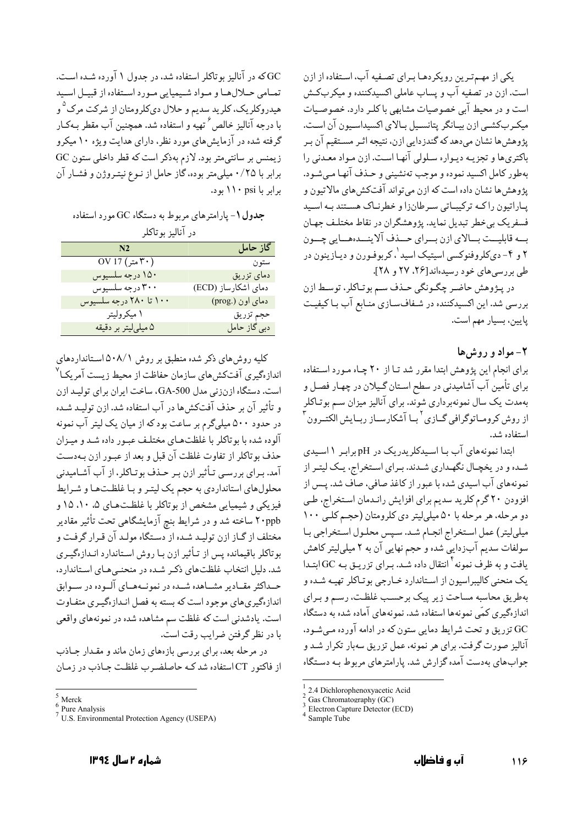یکی از مهـم تـرین رویکردهـا بـرای تصـفیه آب، اسـتفاده از ازن است. ازن در تصفیه آب و پساب عاملی اکسیدکننده و میکربکش است و در محیط آبی خصوصیات مشابهی باکلر دارد. خصوصیات میکربکشبی ازن بیـانگر پتانسـیل بـالای اکسیداسـیون آن اسـت. پژوهش ها نشان می دهد که گندز دایی ازن، نتیجه اثـر مسـتقیم آن بـر باکتریها و تجزیـه دیـواره سـلولی آنهـا اسـت. ازن مـواد معـدنی را بهطور كامل اكسيد نموده و موجب تهنشيني و حـذف آنهـا مـي شـود. يژوهش ها نشان داده است كه ازن مي تواند آفتكش هاي مالاتيون و يـاراتيون راكـه تركيبـاتي سـرطانزا و خطرنـاك هسـتند بـه اسـيد فسفريک بي خطر تبديل نمايد. پژوهشگران در نقاط مختلـف جهـان بسه قابليست بسالاي ازن بسراي حسذف آلاينسدهسايي چسون ۲ و ۴- دېکلروفنوکسي اسيتيک اسيد <sup>۱</sup>،کربوفـورن و ديـازينون در طی بررسی های خود رسیدهاند[۲۶، ۲۷ و ۲۸].

در پـژوهش حاضـر چگـونگي حـذف سـم بوتـاكلر، توسـط ازن بررسی شد. این اکسیدکننده در شـفافسـازی منـابع آب بـاکیفیـت يايين، بسيار مهم است.

# $-1$ مواد و روش

برای انجام این پژوهش ابتدا مقرر شد تـا از ۲۰ چـاه مـورد اسـتفاده برای تأمین آب آشامیدنی در سطح استان گـیلان در چهـار فصـل و بهمدت یک سال نمونهبرداری شوند. برای آنالیز میزان سـم بوتـاکلر از روش کرومـاتوگرافی گــازی <sup>۲</sup>بــا آشکارســاز ربــايش الکتــرون <sup>۲</sup> استفاده شد.

ابتدا نمونههای آب با اسیدکلریدریک در pH برابر ۱ اسیدی شـده و در یخچـال نگهـداری شـدند. بـرای اسـتخراج، یـک لیتـر از نمونههای آب اسیدی شده با عبور از کاغذ صافی، صاّف شد. پـس از افزودن ۲۰ گرم کلرید سدیم برای افزایش رانـدمان اسـتخراج، طـی دو مرحله، هر مرحله با ۵۰ میلی لیتر دی کلرومتان (حجم کلبی ۱۰۰ میلیلیتر) عمل استخراج انجام شد. سپس محلول استخراجی با سولفات سدیم آبزدایی شده و حجم نهایی آن به ۲ میلیلیتر کاهش یافت و به ظرف نمونه <sup>۴</sup> انتقال داده شـد. بـرای تزریـق بـه GC ابتـدا یک منحنی کالیبراسیون از استاندارد خـارجی بوتـاکلر تهیـه شـده و بهطريق محاسبه مساحت زير ييك برحسب غلظت، رسم و بـراي اندازهگیری کمّی نمونهها استفاده شد. نمونههای آماده شده به دستگاه GC تزريق و تحت شرايط دمايي ستون كه در ادامه آورده مـي شـود، آنالیز صورت گرفت. برای هر نمونه، عمل تزریق سهبار تکرار شـد و جواب های بهدست آمده گزارش شد. پارامترهای مربوط بـه دسـتگاه

GC که در آنالیز بو تاکلر استفاده شد، در جدول ۱ آورده شـده اسـت. تمـامي حـلالهـا و مـواد شـيميايي مـورد اسـتفاده از قبيـل اسـيد هیدروکلریک، کلرید سدیم و حلال دیکلرومتان از شرکت مرک <sup>۵</sup>و با درجه آنالیز خالص ٔ تهیه و استفاده شد. همچنین آب مقطر بـهکـار گرفته شده در آزمایش های مورد نظر، دارای هدایت ویژه ۱۰ میکرو زیمنس بر سانتی متر بود. لازم بهذکر است که قطر داخلی ستون GC برابر با ۰/۲۵ میلی متر بوده، گاز حامل از نـوع نیتـروژن و فشـار آن برابر با ۱۱۰ psi بود.

جدول ۱- پارامترهای مربوط به دستگاه GC مورد استفاده

د, آنالین به تاکلہ

| N <sub>2</sub>                                                         | گاز حامل            |
|------------------------------------------------------------------------|---------------------|
| $\overline{\text{OV 17}}$ (۳۰ متر $\overline{\text{F} \cdot \text{F}}$ | ستون                |
| ۱۵۰ درجه سلسیوس                                                        | دمای تزریق          |
| ۳۰۰ درجه سلسیوس                                                        | دمای آشکارساز (ECD) |
| ۱۰۰ تا ۲۸۰ درجه سلسیوس                                                 | دمای اون (.prog)    |
| ۱ میکرولیتر                                                            | حجم تزريق           |
| ۵ میلیلیتر بر دقیقه                                                    | دبی گاز حامل        |

کلیه روش های ذکر شده منطبق بر روش ۵۰۸/۱ استانداردهای اندازهگیری آفتکشهای سازمان حفاظت از محیط زیست آمریکـا<sup>۷</sup> است. دستگاه ازنزنی مدل GA-500، ساخت ایران برای تولیـد ازن و تأثير آن بر حذف آفتكشها در آب استفاده شد. ازن توليـد شـده در حدود ۵۰۰ میلیگرم بر ساعت بود که از میان یک لیتر آب نمونه آلوده شده با بوتاكلر با غلظتهـاي مختلـف عبـور داده شـد و ميـزان حذف بو تاكلر از تفاوت غلظت آن قبل و بعد از عبـور ازن بـهدسـت آمد. بـراي بررسـي تـأثير ازن بـر حـذف بوتـاكلر، از آب آشـاميدني محلولهای استانداردی به حجم یک لیتـر و بـا غلظـتهـا و شـرایط فیزیکی و شیمیایی مشخص از بوتاکلر با غلظتهای ۵، ۱۰، ۱۵ و ۲۰ppb ساخته شد و در شرایط بنج آزمایشگاهی تحت تأثیر مقادیر مختلف از گـاز ازن توليـد شـده از دسـتگاه مولـد آن قـرار گرفـت و بو تاکلر باقیمانده پس از تـأثیر ازن بـا روش اسـتاندارد انـدازهگیـری شد. دلیل انتخاب غلظتهای ذکر شده در منحنبیهای استاندارد، حـداکثر مقـادیر مشـاهده شـده در نمونـههـای آلـوده در سـوابق اندازهگیریهای موجود است که بسته به فصل انـدازهگیـری متفـاوت است. یادشدنی است که غلظت سم مشاهده شده در نمونههای واقعی یا در نظر گرفتن ضرایب رقت است.

در مرحله بعد، برای بررسی بازههای زمان ماند و مقـدار جـاذب از فاکتور CT استفاده شد کـه حاصلضـرب غلظـت جـاذب در زمـان

<sup>2.4</sup> Dichlorophenoxyacetic Acid

Gas Chromatography (GC)

Electron Capture Detector (ECD)

Sample Tube

 $^5$  Merck

 $\frac{6}{7}$  Pure Analysis

<sup>&</sup>lt;sup>7</sup> U.S. Environmental Protection Agency (USEPA)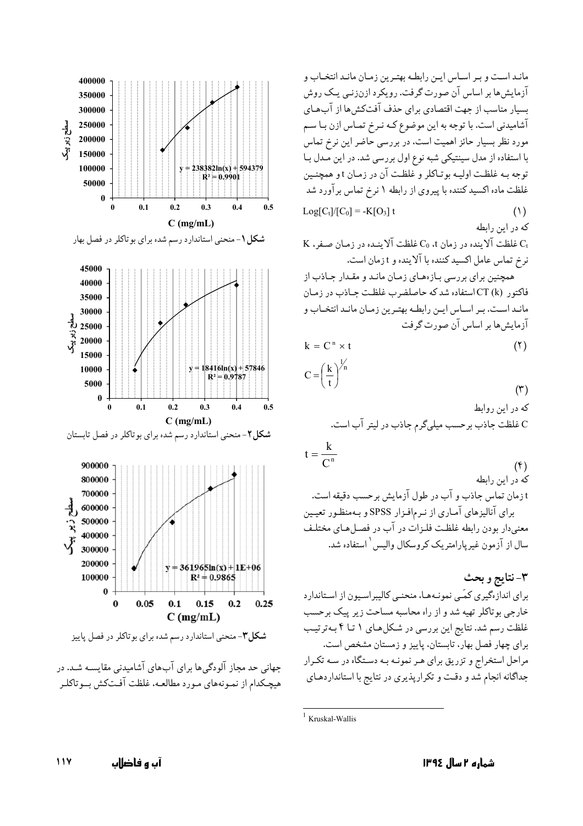مانـد اسـت و بـر اسـاس ايـن رابطـه بهتـرين زمـان مانـد انتخـاب و آزمایش ها بر اساس آن صورت گرفت. رویکرد ازنزنمی یک روش بسیار مناسب از جهت اقتصادی برای حذف آفتکشها از آبهای آشامیدنی است. با توجه به این موضوع کـه نـرخ تمـاس ازن بـا سـم مورد نظر بسیار حائز اهمیت است، در بررسی حاضر این نرخ تماس با استفاده از مدل سینتیکی شبه نوع اول بررسی شد. در این مـدل بـا توحه بـه غلظت اوليـه بوتـاكلر و غلظـت آن در زمـان t و همچنـين غلظت ماده اکسید کننده با پیروی از رابطه ۱ نرخ تماس برآورد شد  $Log[C_t]/[C_0] = -K[O_3]$  t  $(1)$ که در این رابطه K فلظت آلاینده در زمان t،  $\rm C_{0}$  غلظت آلاینـده در زمـان صـفر، K

نرخ تماس عامل اكسيد كننده با آلاينده و t زمان است.

همچنین برای بررسی بـازههـای زمـان مانـد و مقـدار جـاذب از فاکتور CT (k) استفاده شد که حاصلضرب غلظت جـاذب در زمـان مانـد اسـت. بـر اسـاس ايـن رابطـه بهتـرين زمـان مانـد انتخـاب و آزمایش ها بر اساس آن صورت گرفت

$$
k = Cn \times t
$$
  

$$
C = \left(\frac{k}{t}\right)^{\frac{1}{n}}
$$

که در این روابط C غلظت جاذب برحسب ميلي گرم جاذب در ليتر آب است.

$$
\frac{k}{C^n}
$$

 $t =$ 

 $($ f $)$ که در این رابطه

 $(5)$ 

 $(5)$ 

t زمان تماس جاذب و آب در طول آزمايش برحسب دقيقه است. برای آنالیزهای آماری از نـرمافـزار SPSS و بـهمنظـور تعیـین معنى دار بودن رابطه غلظت فلـزات در آب در فصـل هـاي مختلـف سال از آزمون غیر بارامتر یک کروسکال والیس ( استفاده شد.

٣-نتايج و بحث برای اندازهگیری کمّبی نمونـههـا، منحنـی کالیبراسـیون از اسـتاندارد خارجی بوتاکلر تهیه شد و از راه محاسبه مساحت زیر پیک برحسب غلظت رسم شد. نتایج این بررسی در شکلهای ۱ تـا ۴ بـهترتیـب برای چهار فصل بهار، تابستان، پاییز و زمستان مشخص است. مراحل استخراج و تزریق برای هـر نمونـه بـه دسـتگاه در سـه تكـرار جداگانه انجام شد و دقت و تکرارپذیری در نتایج با استانداردهای



جهانی حد مجاز آلودگی ها برای آب های آشامیدنی مقایسـه شـد. در هیچکدام از نمـونههای مـورد مطالعـه، غلظت آفـتکش بــوتاکلـر

 $1$  Kruskal-Wallis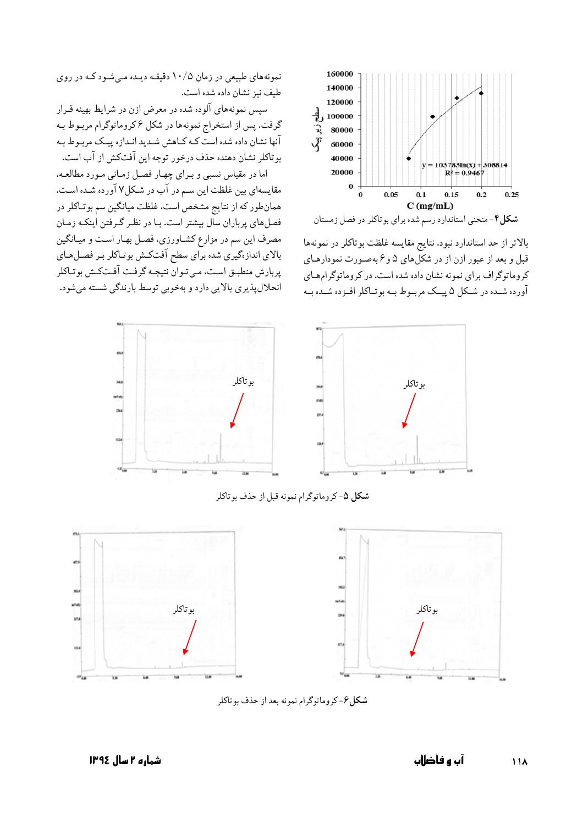

شکل۴- منحنی استاندارد رسم شده برای بوتاکلر در فصل زمستان

بالاتر از حد استاندارد نبود. نتايج مقايسه غلظت بوتاكلر در نمونهها قبل و بعد از عبور ازن از در شکلهای ۵ و ۶ بهصورت نمودارهای کروماتوگراف برای نمونه نشان داده شده است. در کروماتوگرامهای آورده شـده در شـکل ۵ پیـک مربـوط بـه بوتـاکلر افـزده شـده بـه

نمونههای طبیعی در زمان ۱۰/۵ دقیقه دیـده مـی شـود کـه در روی طيف نيز نشان داده شده است.

سپس نمونههای آلوده شده در معرض ازن در شرایط بهینه قـرار گرفت. پس از استخراج نمونهها در شکل ۶کروماتوگرام مربـوط بـه آنها نشان داده شده است كـه كـاهش شـديد انـدازه پيـك مربـوط بـه بو تاكلر نشان دهنده حذف درخور توجه اين آفتكش از آب است.

اما در مقیاس نسبی و برای چهار فصل زمانی مورد مطالعه، مقایسهای بین غلظت این سم در آب در شکل۷ آورده شـده اسـت. همانطور که از نتایج مشخص است، غلظت میانگین سم بوتاکلر در فصل های پرباران سال بیشتر است. بـا در نظـر گـرفتن اینکـه زمـان مصرف این سم در مزارع کشـاورزی، فصـل بهـار اسـت و میـانگین بالای اندازهگیری شده برای سطح آفتکش بوتـاکلر بـر فصـلهـای پربارش منطبـق اسـت، مـيتـوان نتيجـه گرفـت آفـتكـش بوتـاكلر انحلال پذیری بالایی دارد و بهخوبی توسط بارندگی شسته می شود.



شكل ۵-كروماتوگرام نمونه قبل از حذف بوتاكلر



شکل۶-کروماتوگرام نمونه بعد از حذف بوتاکلر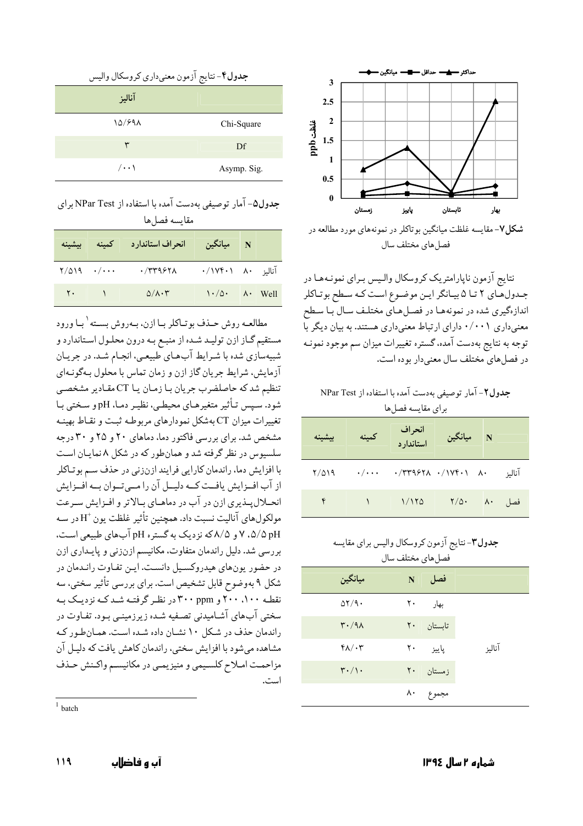

شکل ۷- مقایسه غلظت میانگین بوتاکلر در نمونههای مورد مطالعه در فصل های مختلف سال

نتايج آزمون ناپارامتريک کروسکال واليس بـراي نمونـههـا در جـدولهـاي ٢ تـا ۵ بيـانگر ايـن موضـوع اسـت كـه سـطح بوتـاكلر اندازهگیری شده در نمونههـا در فصـلهـای مختلـف سـال بـا سـطح معنیداری ۰/۰۰۱ دارای ارتباط معنیداری هستند. به بیان دیگر با توجه به نتایج بهدست آمده، گستره تغییرات میزان سم موجود نمونـه در فصل های مختلف سال معنی دار بو ده است.

جدول ۲- آمار توصيفي بهدست آمده با استفاده از NPar Test برای مقایسه فصل ها

| ىشىنە | كمينه                   | انحراف<br>استاندار د              | ا ميانگين $\mathbf N$ |        |
|-------|-------------------------|-----------------------------------|-----------------------|--------|
| 7/019 | $\cdot/\cdot\cdot\cdot$ | $\cdot$ /٣٣٩۶٢٨ $\cdot$ /١٧۴٠١ ٨. |                       | آنالية |
| ۴     |                         | 1/170                             | $\frac{1}{2}$         | فصل ۸۰ |

| جدول۳-نتایج ازمون کروسکال والیس برای مقایسه |    | فصل هاي مختلف سال |        |
|---------------------------------------------|----|-------------------|--------|
| ميانگين                                     | N  | فصل               |        |
| $\Delta Y$ /9.                              | ٢٠ | بهار              |        |
| $\mathsf{r}\cdot\mathsf{A}$                 |    | تابستان ۲۰        |        |
| $f \wedge / \cdot r$                        |    | ياييز ۲۰          | آناليز |
| $\mathbf{r} \cdot / \mathbf{v}$             |    | زمستان ۲۰         |        |
|                                             |    | مجموع ۸۰          |        |

| جدول۴-نتايج آزمون معنىداري كروسكال واليس |             |
|------------------------------------------|-------------|
| آناليز                                   |             |
| 10/998                                   | Chi-Square  |
| ٣                                        | Df          |
| $/ \cdot \cdot \cdot$                    | Asymp. Sig. |

جدول۵- آمار توصیفی بهدست آمده با استفاده از NPar Test برای مقايسه فصل ها

| بيشينه                       |         | انحراف استاندارد كمينه   | ا میانگین $\mathbf N$                                         |  |
|------------------------------|---------|--------------------------|---------------------------------------------------------------|--|
| $Y/\Delta$ 19 $\cdot/\cdots$ |         | $\cdot$ /۳۳۹۶۲۸          | $\cdot / \sqrt{(\cdot)} \quad \wedge \cdot \quad \text{with}$ |  |
|                              | $Y - 1$ | $\Delta/\lambda \cdot r$ | $\lambda \cdot / \Delta \cdot$ $\lambda \cdot$ Well           |  |

مطالعـه روش حـذف بوتـاكلر بـا ازن، بـهروش بسـته ٰ بـا ورود مستقیم گـاز ازن تولیـد شـده از منبـع بـه درون محلـول اسـتاندارد و شبیهسازی شده با شـرایط آبهـای طبیعـی، انجـام شـد. در جریـان آزمايش، شرايط جريان گاز ازن و زمان تماس با محلول بـهگونـهاي تنظیم شد که حاصلضرب جریان بـا زمـان یـا CT مقـادیر مشخصـی شود. سپس تبأثیر متغیرهبای محیطے، نظیر دمیا، pH و سبختے پیا تغییرات میزان CT بهشکل نمودارهای مربوطـه ثبـت و نقـاط بهینـه مشخص شد. برای بررسی فاکتور دما، دماهای ۲۰ و ۲۵ و ۳۰ درجه سلسیوس در نظر گرفته شد و همان طور که در شکل ۸ نماییان است با افزایش دما، راندمان کارایی فرایند ازنزنی در حذف سـم بو تـاکلر از آب افـزايش يافـت كـه دليـل آن را مـيتـوان بـه افـزايش انحــلالپــذيري ازن در آب در دماهــاي بــالاتر و افــزايش ســرعت مولکولهای آنالیت نسبت داد. همچنین تأثیر غلظت یون  $\mathrm{H}^+$  در سـه pH ۵/۵ ، ۷ و ۵/۸که نزدیک به گستره pH آبهای طبیعی است. بررسی شد. دلیل راندمان متفاوت، مکانیسم ازنزنی و پایـداری ازن در حضور یونهای هیدروکسیل دانست. ایـن تفـاوت رانـدمان در شکل ۹ بهوضوح قابل تشخیص است. برای بررسی تأثیر سختی، سه نقطه ۱۰۰، ۲۰۰ و ۳۰۰ در نظر گرفته شد که نزدیک به سختی آبهای آشامیدنی تصفیه شده زیرزمینـی بـود. تفـاوت در راندمان حذف در شکل ۱۰ نشـان داده شـده اسـت. همـان طور کـه مشاهده می شود با افزایش سختی، راندمان کاهش یافت که دلیـل آن مزاحمت امـلاح كلسـيمي و منيزيمـي در مكانيسـم واكـنش حـذف است.

 $1$  batch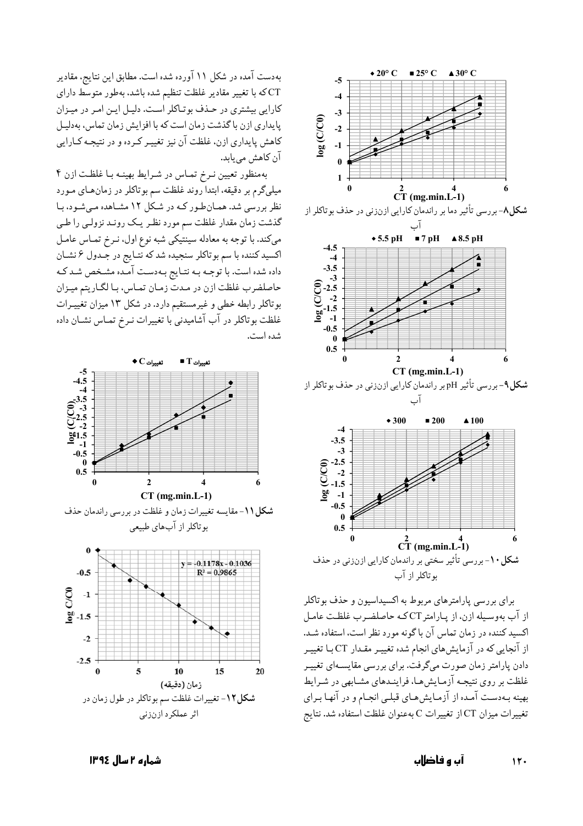

برای بررسی پارامترهای مربوط به اکسیداسیون و حذف بو تاکلر از آب بهوسیله ازن، از پارامتر CTکه حاصلضرب غلظت عامل اکسید کننده در زمان تماس آن باگونه مورد نظر است، استفاده شـد. از آنجایی که در آزمایشهای انجام شده تغییـر مقـدار CT بـا تغییـر دادن پارامتر زمان صورت میگرفت. برای بررسی مقایسـهای تغییـر غلظت بر روی نتیجـه آزمـایش هـا، فراینـدهای مشـابهی در شـرایط بهینه بـهدسـت آمـده از آزمـایش۵هـای قبلـی انجـام و در آنهـا بـرای تغییرات میزان CT از تغییرات C بهعنوان غلظت استفاده شد. نتایج

بهدست آمده در شکل ۱۱ آورده شده است. مطابق این نتایج، مقادیر .<br>CTکه با تغییر مقادیر غلظت تنظیم شده باشد، بهطور متوسط دارای کارایی بیشتری در حـذف بوتـاکلر اسـت. دلیـل ایـن امـر در میـزان یایداری ازن با گذشت زمان است که با افزایش زمان تماس، بهدلیـل كاهش پايداري ازن، غلظت آن نيز تغييـر كـرده و در نتيجـه كـارايي آن کاهش می یابد.

بهمنظور تعیین نـرخ تمـاس در شـرایط بهینـه بـا غلظـت ازن ۴ میلیگرم بر دقیقه، ابتدا روند غلظت سم بوتاکلر در زمان هـای مـورد نظر بررسی شد. همان طور که در شکل ۱۲ مشاهده میشود، با گذشت زمان مقدار غلظت سم مورد نظـر يـک رونـد نزولـي را طـي میکند. با توجه به معادله سینتیکی شبه نوع اول، نـرخ تمـاس عامـل اکسید کننده با سم بوتاکلر سنجیده شد که نتـایج در جـدول ۶ نشـان داده شده است. با توجـه بـه نتـايج بـهدسـت آمـده مشـخص شـد كـه حاصلضرب غلظت ازن در مدت زمـان تمـاس، بـا لگـاريتم ميـزان بوتاکلر رابطه خطی و غیرمستقیم دارد. در شکل ۱۳ میزان تغییـرات غلظت بوتاکلر در آب آشامیدنی با تغییرات نـرخ تمـاس نشـان داده شده است.



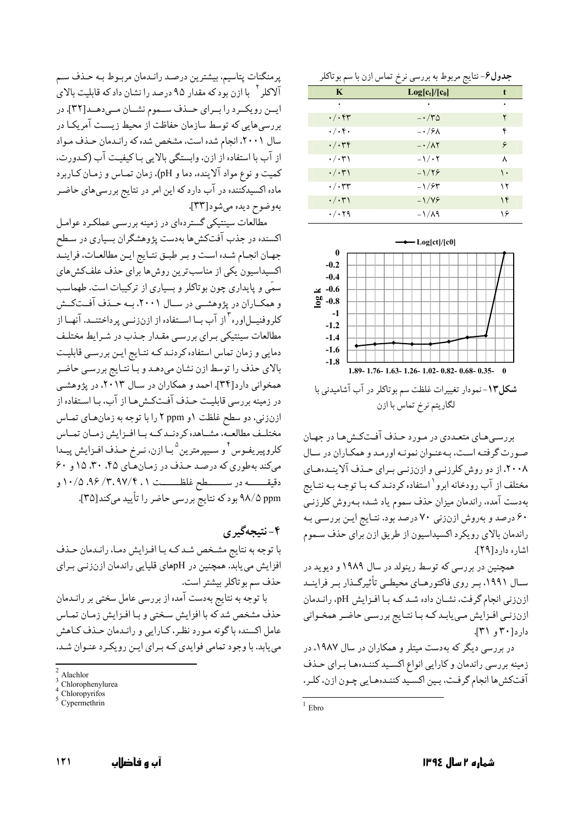| <b>جدول۶</b> –نتايج مربوط به بررسي نرخ تماس ازن با سم بوتاكلر |  |  |  |  |
|---------------------------------------------------------------|--|--|--|--|
|---------------------------------------------------------------|--|--|--|--|

|                                | ~                            |    |
|--------------------------------|------------------------------|----|
| $\mathbf K$                    | $Log[c_t]/[c_0]$             |    |
| ٠                              |                              |    |
| $\cdot/\cdot$ ۴۳               | $-\cdot/\mathcal{r}$ $\circ$ | ۲  |
| $\cdot/\cdot$ f $\cdot$        | $-\cdot$ / $9\lambda$        | ۴  |
| $\cdot/\cdot$ ۳۴               | $-\cdot/\lambda$ ۲           | ۶  |
| $\cdot/\cdot$ ۳۱               | $-\frac{1}{1}$               | ٨  |
| $\cdot/\cdot$ ۳۱               | $-1/79$                      | ١. |
| $\cdot/\cdot$ ۳۳               | $-1/54$                      | ۱۲ |
| $\cdot/\cdot$ ۳۱               | $-\frac{1}{9}$               | ۱۴ |
| $\cdot$ / $\cdot$ $\uparrow$ 9 | $-1/\lambda$ ۹               | ۱۶ |



لگاريتم نرخ تماس با ازن

بررسه های متعبددی در مورد حیذف آفتکش هیا در جهیان صورت گرفتـه اسـت، بـهعنـوان نمونـه اورمـد و همكـاران در سـال ۲۰۰۸، از دو روش کلرزنبی و ازنزنبی بـرای حـذف آلاینـدههـای مختلف از آب رودخانه ابرو <sup>۱</sup> استفاده کردنـد کـه بـا توجـه بـه نتـايج بهدست آمده، راندمان میزان حذف سموم یاد شـده بـهروش کلرزنــي ۶۰ درصد و بهروش ازنزنی ۷۰ درصد بود. نتـایج ایـن بررسـی بـه راندمان بالای رویکرد اکسیداسیون از طریق ازن برای حذف سموم اشاره دار د[۲۹].

همچنین در بررسی که توسط رینولد در سال ۱۹۸۹ و دیوید در سـال ۱۹۹۱، بـر روی فاکتورهـای محیطـی تأثیرگـذار بـر فراینــد ازنزني انجام گرفت، نشـان داده شـد كـه بـا افـزايش pH، رانـدمان ازنزني افـزايش مـي يابـدكـه بـا نتـايج بررسـي حاضـر همخـواني دارد[۳۰ و ۳۱].

در بررسی دیگر که بهدست میتلر و همکاران در سال ۱۹۸۷، در زمینه بررسی راندمان و کارایی انواع اکسید کننـدهما بـرای حـذف آفتکشها انجام گرفت، بین اکسید کننـدههـایی چـون ازن، کلـر ،

يرمنگنات يتاسيم، بيشترين درصد رانـدمان مربـوط بـه حـذف سـم آلاکلر <sup>۲</sup> با ازن بود که مقدار ۹۵ درصد را نشان داد که قابلیت بالای ايسن رويكسرد را بسراي حسذف سمموم نشسان مسى دهسد[٣٢]. در بررسی هایی که توسط سازمان حفاظت از محیط زیست آمریکـا در سال ۲۰۰۱، انجام شده است، مشخص شده که رانـدمان حـذف مـواد از آب با استفاده از ازن، وابستگی بالایی با کیفیت آب (کدورت، كميت و نوع مواد آلاينده، دما و pH)، زمان تمـاس و زمـان كـاربرد ماده اکسیدکننده در آب دارد که این امر در نتایج بررسیهای حاضـر بهوضوح ديده مي شود [٣٣].

مطالعات سینتیکی گستردهای در زمینه بررسبی عملکـرد عوامـل اکسنده در جذب آفتکشها بهدست پژوهشگران بسیاری در سطح جهان انجـام شـده اسـت و بـر طبـق نتـايج ايـن مطالعـات، فراينـد اکسیداسیون یکی از مناسب ترین روش ها برای حذف علفکش های سمّی و پایداری چون بوتاکلر و بسیاری از ترکیبات است. طهماسب و همکـاران در پژوهشــي در سـال ۲۰۰۱، بـه حـذف آفـتکـش کلروفنیــلاوره <sup>۳</sup>از آب بــا اســتفاده از ازنزنــی پرداختنــد. آنهــا از مطالعات سینتیکی بـرای بررسـی مقـدار جـذب در شـرایط مختلـف دمایی و زمان تماس استفاده کردنـد کـه نتـایج ایـن بررسـی قابلیـت بالای حذف را توسط ازن نشان میدهد و بـا نتـايج بررسـي حاضـر همخواني دارد[۳۴]. احمد و همكاران در سال ۲۰۱۳، در پژوهشي در زمینه بررسی قابلیت حـذف آفـتکـشهـا از آب، بـا اسـتفاده از ازنزنی، دو سطح غلظت ۱و ppm ۲ را با توجه به زمان های تماس مختلـف مطالعـه، مشـاهده كردنـد كـه بـا افـزايش زمـان تمـاس كلروپيريفـوس أو سـيپرمترين <sup>٥</sup>بـا ازن، نـرخ حـذف افـزايش پيــدا می کند به طوری که درصد حذف در زمان های ۴۵، ۳۰، ۱۵ و ۶۰ دقيقــــــه در ســـــــطح غلظــــــت ۰/ ۰/۵،۹۶/۳،۹۷/۴،۱ و ۹۸/۵ ppm بود که نتایج بررسی حاضر را تأیید میکند[۳۵].

۴- نتيجهگير ي

با توجه به نتايج مشـخص شـد كـه بـا افـزايش دمـا، رانـدمان حـذف افزایش می یابد. همچنین در pHهای قلیایی راندمان ازنزنی برای حذف سم بوتاكلر بيشتر است.

با توجه به نتایج بهدست آمده از بررسی عامل سختی بر رانـدمان حذف مشخص شد كه با افزايش سختي و بـا افـزايش زمـان تمـاس عامل اکسنده با گونه مـورد نظـر، کـارایی و رانـدمان حـذف کـاهش می یابد. با وجود تمامی فوایدی کـه بـرای ایـن رویکـرد عنـوان شـد،

 $1$  Ebro

Alachlor

Chlorophenylurea

Chloropyrifos

Cypermethrin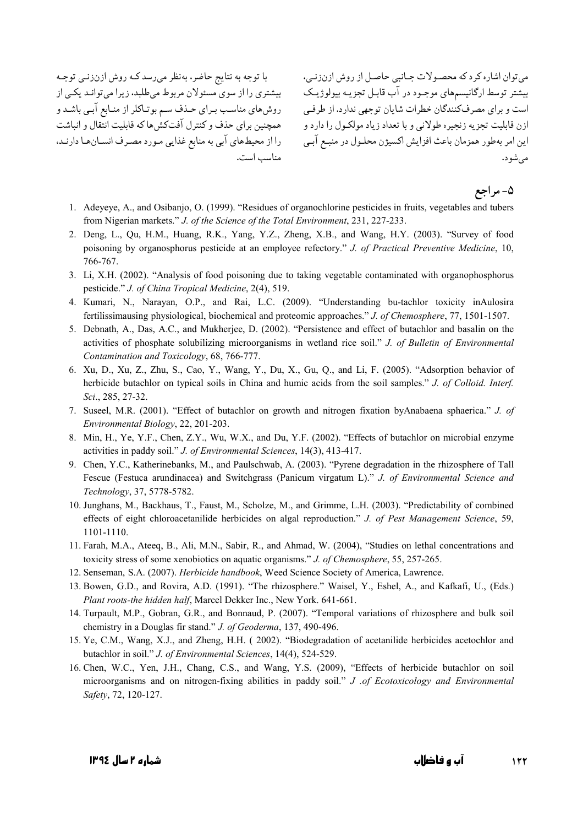با توجه به نتایج حاضر، بهنظر میرسد کـه روش ازنزنـی توجـه بیشتر توسط ارگانیسمهای موجـود در آب قابـل تجزیـه بیولوژیـک میسشتری را از سوی مسئولان مربوط میطلبد، زیرا میتوانـد یکـی از روش های مناسب بـرای حـذف سـم بوتـاکلر از منـابع آبـی باشـد و ازن قابليت تجزيه زنجيره طولاني و با تعداد زياد مولكـول را دارد و مسه همچنين براي حذف و كنترل آفتكش ها كه قابليت انتقال و انباشت را از محیطهای آبی به منابع غذایی مورد مصرف انسانها دارند. مناسب است.

می توان اشاره کرد که محصولات جـانبی حاصـل از روش ازنزنـی، است و برای مصرفکنندگان خطرات شایان توجهی ندارد. از طرفبی این امر بهطور همزمان باعث افزایش اکسیژن محلـول در منبـع آبـي مې شو د.

۵- مراجع

- 1. Adeyeye, A., and Osibanjo, O. (1999). "Residues of organochlorine pesticides in fruits, vegetables and tubers from Nigerian markets." J. of the Science of the Total Environment, 231, 227-233.
- 2. Deng, L., Qu, H.M., Huang, R.K., Yang, Y.Z., Zheng, X.B., and Wang, H.Y. (2003). "Survey of food poisoning by organosphorus pesticide at an employee refectory." J. of Practical Preventive Medicine, 10, 766-767.
- 3. Li, X.H. (2002). "Analysis of food poisoning due to taking vegetable contaminated with organophosphorus pesticide." J. of China Tropical Medicine, 2(4), 519.
- 4. Kumari, N., Narayan, O.P., and Rai, L.C. (2009). "Understanding bu-tachlor toxicity inAulosira fertilissimausing physiological, biochemical and proteomic approaches." J. of Chemosphere, 77, 1501-1507.
- 5. Debnath, A., Das, A.C., and Mukherjee, D. (2002). "Persistence and effect of butachlor and basalin on the activities of phosphate solubilizing microorganisms in wetland rice soil." J. of Bulletin of Environmental Contamination and Toxicology, 68, 766-777.
- 6. Xu, D., Xu, Z., Zhu, S., Cao, Y., Wang, Y., Du, X., Gu, Q., and Li, F. (2005). "Adsorption behavior of herbicide butachlor on typical soils in China and humic acids from the soil samples." J. of Colloid. Interf. Sci., 285, 27-32.
- 7. Suseel, M.R. (2001). "Effect of butachlor on growth and nitrogen fixation byAnabaena sphaerica." J. of Environmental Biology, 22, 201-203.
- 8. Min, H., Ye, Y.F., Chen, Z.Y., Wu, W.X., and Du, Y.F. (2002). "Effects of butachlor on microbial enzyme activities in paddy soil." J. of Environmental Sciences, 14(3), 413-417.
- 9. Chen, Y.C., Katherinebanks, M., and Paulschwab, A. (2003). "Pyrene degradation in the rhizosphere of Tall Fescue (Festuca arundinacea) and Switchgrass (Panicum virgatum L)." J. of Environmental Science and Technology, 37, 5778-5782.
- 10. Junghans, M., Backhaus, T., Faust, M., Scholze, M., and Grimme, L.H. (2003). "Predictability of combined effects of eight chloroacetanilide herbicides on algal reproduction." J. of Pest Management Science, 59, 1101-1110.
- 11. Farah, M.A., Ateeq, B., Ali, M.N., Sabir, R., and Ahmad, W. (2004), "Studies on lethal concentrations and toxicity stress of some xenobiotics on aquatic organisms." J. of Chemosphere, 55, 257-265.
- 12. Senseman, S.A. (2007). Herbicide handbook, Weed Science Society of America, Lawrence.
- 13. Bowen, G.D., and Rovira, A.D. (1991). "The rhizosphere." Waisel, Y., Eshel, A., and Kafkafi, U., (Eds.) Plant roots-the hidden half, Marcel Dekker Inc., New York, 641-661.
- 14. Turpault, M.P., Gobran, G.R., and Bonnaud, P. (2007). "Temporal variations of rhizosphere and bulk soil chemistry in a Douglas fir stand." J. of Geoderma, 137, 490-496.
- 15. Ye, C.M., Wang, X.J., and Zheng, H.H. (2002). "Biodegradation of acetanilide herbicides acetochlor and butachlor in soil." J. of Environmental Sciences, 14(4), 524-529.
- 16. Chen, W.C., Yen, J.H., Chang, C.S., and Wang, Y.S. (2009), "Effects of herbicide butachlor on soil microorganisms and on nitrogen-fixing abilities in paddy soil." J .of Ecotoxicology and Environmental Safety, 72, 120-127.